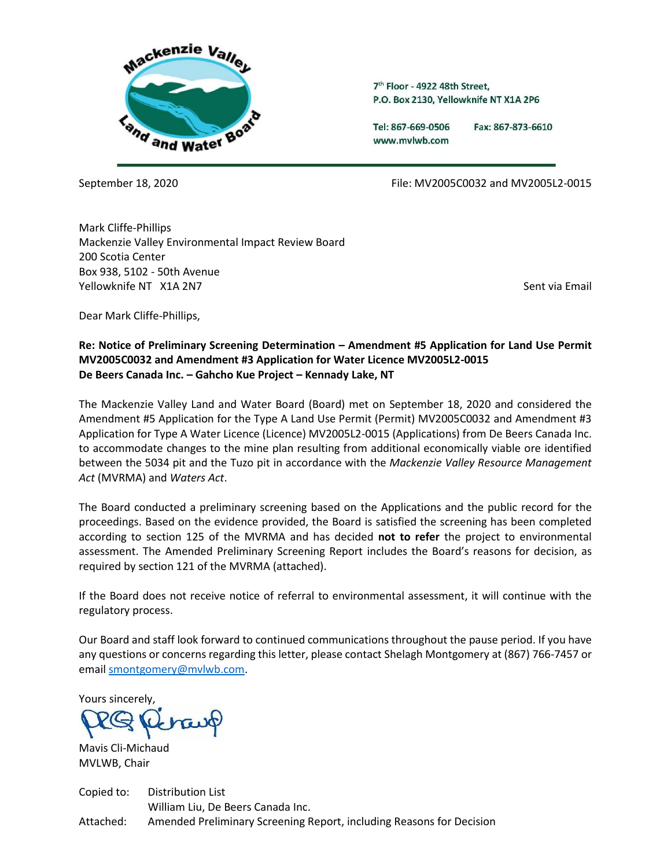

7<sup>th</sup> Floor - 4922 48th Street, P.O. Box 2130. Yellowknife NT X1A 2P6

Tel: 867-669-0506 www.mvlwb.com

Fax: 867-873-6610

September 18, 2020 File: MV2005C0032 and MV2005L2-0015

Mark Cliffe-Phillips Mackenzie Valley Environmental Impact Review Board 200 Scotia Center Box 938, 5102 - 50th Avenue Yellowknife NT X1A 2N7 Sent via Email and Vertical Annual Communication of the Sent via Email Sent via Email and Vertical Annual Communication of the Sent via Email Sent via Email Sent via Email Sent via Email Sent via Ema

Dear Mark Cliffe-Phillips,

# **Re: Notice of Preliminary Screening Determination – Amendment #5 Application for Land Use Permit MV2005C0032 and Amendment #3 Application for Water Licence MV2005L2-0015 De Beers Canada Inc. – Gahcho Kue Project – Kennady Lake, NT**

The Mackenzie Valley Land and Water Board (Board) met on September 18, 2020 and considered the Amendment #5 Application for the Type A Land Use Permit (Permit) MV2005C0032 and Amendment #3 Application for Type A Water Licence (Licence) MV2005L2-0015 (Applications) from De Beers Canada Inc. to accommodate changes to the mine plan resulting from additional economically viable ore identified between the 5034 pit and the Tuzo pit in accordance with the *Mackenzie Valley Resource Management Act* (MVRMA) and *Waters Act*.

The Board conducted a preliminary screening based on the Applications and the public record for the proceedings. Based on the evidence provided, the Board is satisfied the screening has been completed according to section 125 of the MVRMA and has decided **not to refer** the project to environmental assessment. The Amended Preliminary Screening Report includes the Board's reasons for decision, as required by section 121 of the MVRMA (attached).

If the Board does not receive notice of referral to environmental assessment, it will continue with the regulatory process.

Our Board and staff look forward to continued communications throughout the pause period. If you have any questions or concerns regarding this letter, please contact Shelagh Montgomery at (867) 766-7457 or email [smontgomery@mvlwb.com.](mailto:smontgomery@mvlwb.com)

Yours sincerely,

Mavis Cli-Michaud MVLWB, Chair

Copied to: Distribution List William Liu, De Beers Canada Inc. Attached: Amended Preliminary Screening Report, including Reasons for Decision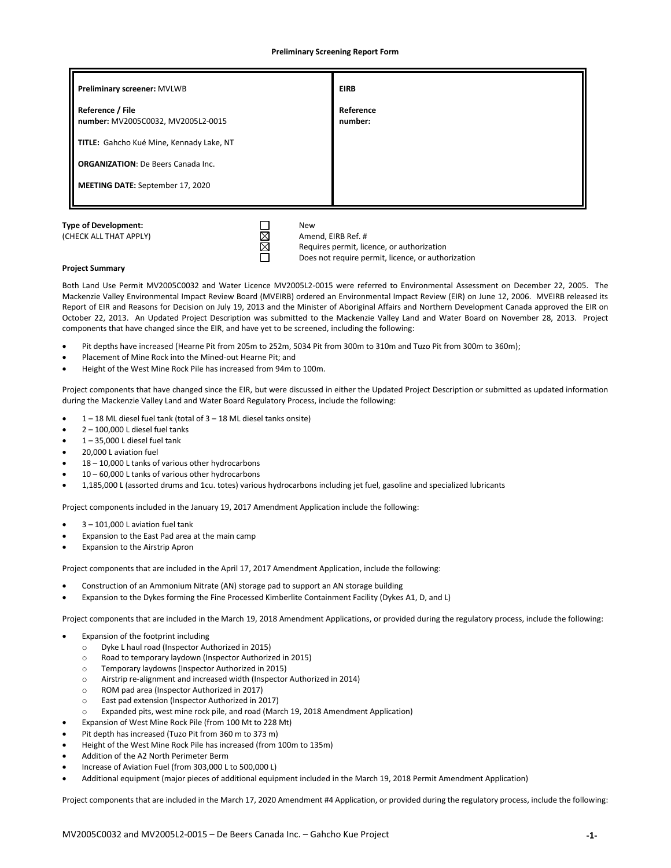**Preliminary Screening Report Form**

| Preliminary screener: MVLWB                            | <b>EIRB</b>          |  |
|--------------------------------------------------------|----------------------|--|
| Reference / File<br>number: MV2005C0032, MV2005L2-0015 | Reference<br>number: |  |
| TITLE: Gahcho Kué Mine, Kennady Lake, NT               |                      |  |
| <b>ORGANIZATION: De Beers Canada Inc.</b>              |                      |  |
| <b>MEETING DATE: September 17, 2020</b>                |                      |  |
|                                                        |                      |  |

 $\Box$ 

(CHECK ALL THAT APPLY)  $\boxtimes$  Amend, EIRB Ref. # Requires permit, licence, or authorization Does not require permit, licence, or authorization

## **Project Summary**

Both Land Use Permit MV2005C0032 and Water Licence MV2005L2-0015 were referred to Environmental Assessment on December 22, 2005. The Mackenzie Valley Environmental Impact Review Board (MVEIRB) ordered an Environmental Impact Review (EIR) on June 12, 2006. MVEIRB released its Report of EIR and Reasons for Decision on July 19, 2013 and the Minister of Aboriginal Affairs and Northern Development Canada approved the EIR on October 22, 2013. An Updated Project Description was submitted to the Mackenzie Valley Land and Water Board on November 28, 2013. Project components that have changed since the EIR, and have yet to be screened, including the following:

- Pit depths have increased (Hearne Pit from 205m to 252m, 5034 Pit from 300m to 310m and Tuzo Pit from 300m to 360m);
- Placement of Mine Rock into the Mined-out Hearne Pit; and
- Height of the West Mine Rock Pile has increased from 94m to 100m.

Project components that have changed since the EIR, but were discussed in either the Updated Project Description or submitted as updated information during the Mackenzie Valley Land and Water Board Regulatory Process, include the following:

- $\bullet$  1 18 ML diesel fuel tank (total of 3 18 ML diesel tanks onsite)
- $2 100,000$  L diesel fuel tanks
- $1 35,000$  L diesel fuel tank
- 20,000 L aviation fuel
- 18 10,000 L tanks of various other hydrocarbons
- 10 60,000 L tanks of various other hydrocarbons
- 1,185,000 L (assorted drums and 1cu. totes) various hydrocarbons including jet fuel, gasoline and specialized lubricants

Project components included in the January 19, 2017 Amendment Application include the following:

- $3 101,000$  L aviation fuel tank
- Expansion to the East Pad area at the main camp
- Expansion to the Airstrip Apron

Project components that are included in the April 17, 2017 Amendment Application, include the following:

- Construction of an Ammonium Nitrate (AN) storage pad to support an AN storage building
- Expansion to the Dykes forming the Fine Processed Kimberlite Containment Facility (Dykes A1, D, and L)

Project components that are included in the March 19, 2018 Amendment Applications, or provided during the regulatory process, include the following:

- Expansion of the footprint including
	- o Dyke L haul road (Inspector Authorized in 2015)
	- o Road to temporary laydown (Inspector Authorized in 2015)
	- o Temporary laydowns (Inspector Authorized in 2015)
	- o Airstrip re-alignment and increased width (Inspector Authorized in 2014)
	- o ROM pad area (Inspector Authorized in 2017)
	- o East pad extension (Inspector Authorized in 2017)
	- Expanded pits, west mine rock pile, and road (March 19, 2018 Amendment Application)
- Expansion of West Mine Rock Pile (from 100 Mt to 228 Mt)
- Pit depth has increased (Tuzo Pit from 360 m to 373 m)
- Height of the West Mine Rock Pile has increased (from 100m to 135m)
- Addition of the A2 North Perimeter Berm
- Increase of Aviation Fuel (from 303,000 L to 500,000 L)
- Additional equipment (major pieces of additional equipment included in the March 19, 2018 Permit Amendment Application)

Project components that are included in the March 17, 2020 Amendment #4 Application, or provided during the regulatory process, include the following: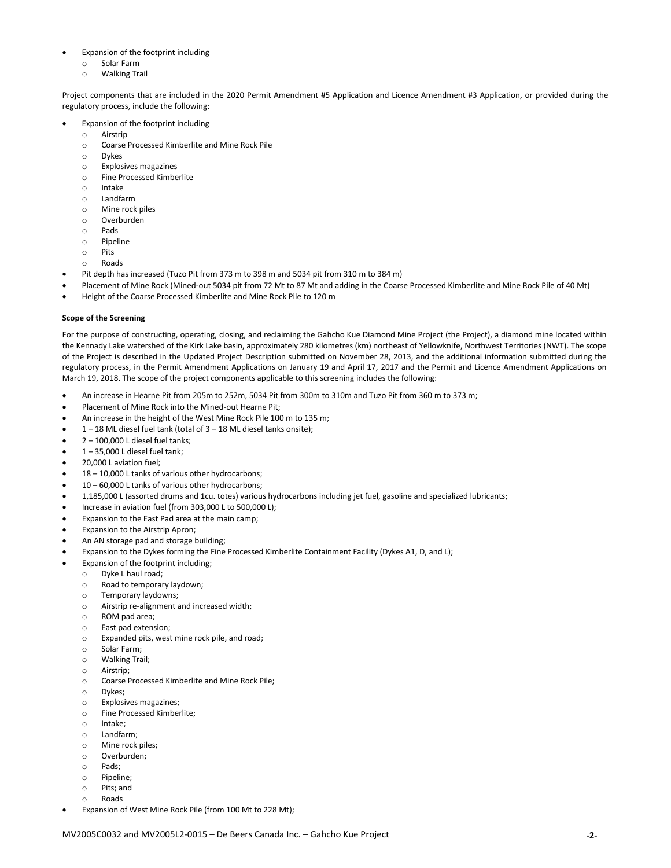#### • Expansion of the footprint including

- o Solar Farm
- o Walking Trail

Project components that are included in the 2020 Permit Amendment #5 Application and Licence Amendment #3 Application, or provided during the regulatory process, include the following:

- Expansion of the footprint including
	- o Airstrip
	- o Coarse Processed Kimberlite and Mine Rock Pile
	- o Dykes
	- o Explosives magazines
	- o Fine Processed Kimberlite
	- o Intake
	- o Landfarm
	- o Mine rock piles
	- o Overburden
	- o Pads
	- o Pipeline
	- o Pits
	- o Roads
- Pit depth has increased (Tuzo Pit from 373 m to 398 m and 5034 pit from 310 m to 384 m)
- Placement of Mine Rock (Mined-out 5034 pit from 72 Mt to 87 Mt and adding in the Coarse Processed Kimberlite and Mine Rock Pile of 40 Mt)
- Height of the Coarse Processed Kimberlite and Mine Rock Pile to 120 m

## **Scope of the Screening**

For the purpose of constructing, operating, closing, and reclaiming the Gahcho Kue Diamond Mine Project (the Project), a diamond mine located within the Kennady Lake watershed of the Kirk Lake basin, approximately 280 kilometres (km) northeast of Yellowknife, Northwest Territories (NWT). The scope of the Project is described in the Updated Project Description submitted on November 28, 2013, and the additional information submitted during the regulatory process, in the Permit Amendment Applications on January 19 and April 17, 2017 and the Permit and Licence Amendment Applications on March 19, 2018. The scope of the project components applicable to this screening includes the following:

- An increase in Hearne Pit from 205m to 252m, 5034 Pit from 300m to 310m and Tuzo Pit from 360 m to 373 m;
- Placement of Mine Rock into the Mined-out Hearne Pit;
- An increase in the height of the West Mine Rock Pile 100 m to 135 m;
- 1 18 ML diesel fuel tank (total of 3 18 ML diesel tanks onsite);
- $\bullet$  2 100,000 L diesel fuel tanks;
- $1 35,000$  L diesel fuel tank;
- 20,000 L aviation fuel;
- 18 10,000 L tanks of various other hydrocarbons;
- 10 60,000 L tanks of various other hydrocarbons;
- 1,185,000 L (assorted drums and 1cu. totes) various hydrocarbons including jet fuel, gasoline and specialized lubricants;
- Increase in aviation fuel (from 303,000 L to 500,000 L);
- Expansion to the East Pad area at the main camp;
- Expansion to the Airstrip Apron;
- An AN storage pad and storage building;
- Expansion to the Dykes forming the Fine Processed Kimberlite Containment Facility (Dykes A1, D, and L);
- Expansion of the footprint including;
	- o Dyke L haul road;
		- o Road to temporary laydown;
		- o Temporary laydowns;
		- o Airstrip re-alignment and increased width;
		- o ROM pad area;
		- o East pad extension;
		- o Expanded pits, west mine rock pile, and road;
		- o Solar Farm;
		- o Walking Trail;
		- o Airstrip;
		- o Coarse Processed Kimberlite and Mine Rock Pile;
		- o Dykes;
		- o Explosives magazines;
		- o Fine Processed Kimberlite;
		- o Intake;
		- o Landfarm;
		- o Mine rock piles;
		- o Overburden;
		- o Pads;
		- o Pipeline;
		- o Pits; and
		- o Roads
- Expansion of West Mine Rock Pile (from 100 Mt to 228 Mt);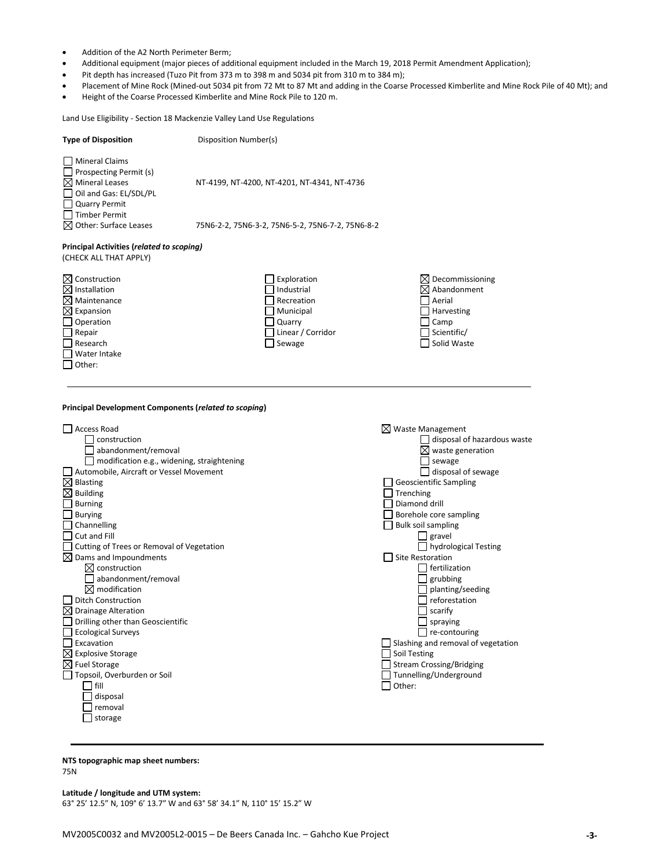- Addition of the A2 North Perimeter Berm;
- Additional equipment (major pieces of additional equipment included in the March 19, 2018 Permit Amendment Application);
- Pit depth has increased (Tuzo Pit from 373 m to 398 m and 5034 pit from 310 m to 384 m);
- Placement of Mine Rock (Mined-out 5034 pit from 72 Mt to 87 Mt and adding in the Coarse Processed Kimberlite and Mine Rock Pile of 40 Mt); and
- Height of the Coarse Processed Kimberlite and Mine Rock Pile to 120 m.

Land Use Eligibility - Section 18 Mackenzie Valley Land Use Regulations

| <b>Mineral Claims</b><br>Prospecting Permit (s)<br>$\boxtimes$ Mineral Leases<br>NT-4199, NT-4200, NT-4201, NT-4341, NT-4736<br>Oil and Gas: EL/SDL/PL                                                                                                                                                                                                                |  |
|-----------------------------------------------------------------------------------------------------------------------------------------------------------------------------------------------------------------------------------------------------------------------------------------------------------------------------------------------------------------------|--|
| <b>Quarry Permit</b><br><b>Timber Permit</b>                                                                                                                                                                                                                                                                                                                          |  |
| $\boxtimes$ Other: Surface Leases<br>75N6-2-2, 75N6-3-2, 75N6-5-2, 75N6-7-2, 75N6-8-2                                                                                                                                                                                                                                                                                 |  |
| Principal Activities (related to scoping)<br>(CHECK ALL THAT APPLY)                                                                                                                                                                                                                                                                                                   |  |
| $\boxtimes$ Construction<br>Exploration<br>Decommissioning<br>$\boxtimes$ Installation<br>Industrial<br>$\times$ Abandonment<br>$\boxtimes$ Maintenance<br>Recreation<br>Aerial<br>$\boxtimes$ Expansion<br>Municipal<br>Harvesting<br>Operation<br>Quarry<br>Camp<br>Repair<br>Linear / Corridor<br>Scientific/<br>Solid Waste<br>Research<br>Sewage<br>Water Intake |  |

**Principal Development Components (***related to scoping***)**



# **NTS topographic map sheet numbers:**

75N

**Latitude / longitude and UTM system:**

63° 25' 12.5" N, 109° 6' 13.7" W and 63° 58' 34.1" N, 110° 15' 15.2" W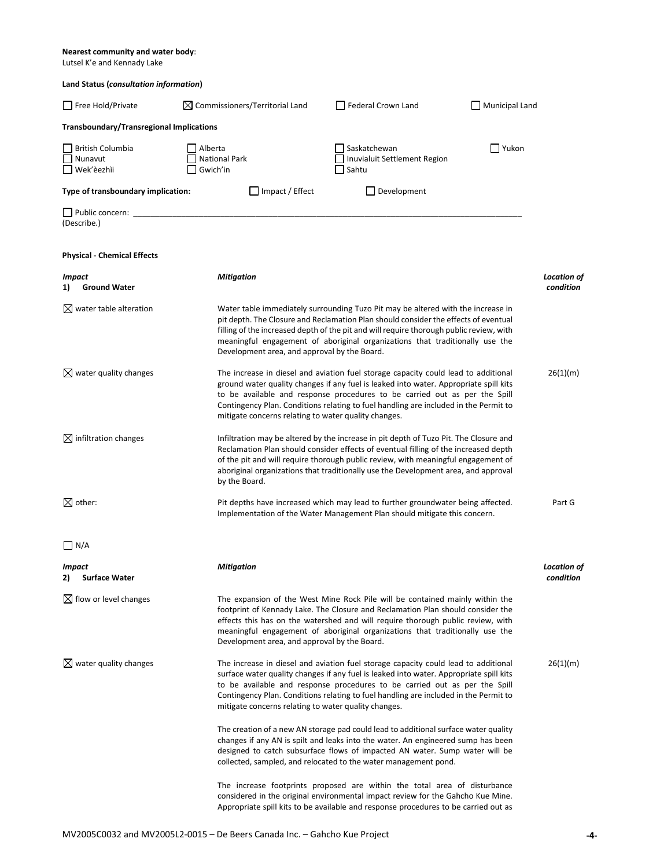#### **Nearest community and water body**:

Lutsel K'e and Kennady Lake

| Land Status (consultation information)          |                                                      |                                                                                                                                                                                                                                                                                                                                                         |                |                                 |
|-------------------------------------------------|------------------------------------------------------|---------------------------------------------------------------------------------------------------------------------------------------------------------------------------------------------------------------------------------------------------------------------------------------------------------------------------------------------------------|----------------|---------------------------------|
| Free Hold/Private                               | $\boxtimes$ Commissioners/Territorial Land           | Federal Crown Land                                                                                                                                                                                                                                                                                                                                      | Municipal Land |                                 |
| <b>Transboundary/Transregional Implications</b> |                                                      |                                                                                                                                                                                                                                                                                                                                                         |                |                                 |
| British Columbia<br>Nunavut<br>Wek'èezhìi       | Alberta<br><b>National Park</b><br>Gwich'in          | Saskatchewan<br>Inuvialuit Settlement Region<br>Sahtu                                                                                                                                                                                                                                                                                                   | Yukon          |                                 |
| Type of transboundary implication:              | Impact / Effect                                      | Development                                                                                                                                                                                                                                                                                                                                             |                |                                 |
| Public concern: _<br>(Describe.)                |                                                      |                                                                                                                                                                                                                                                                                                                                                         |                |                                 |
| <b>Physical - Chemical Effects</b>              |                                                      |                                                                                                                                                                                                                                                                                                                                                         |                |                                 |
| Impact<br><b>Ground Water</b><br>1)             | <b>Mitigation</b>                                    |                                                                                                                                                                                                                                                                                                                                                         |                | <b>Location of</b><br>condition |
| $\boxtimes$ water table alteration              | Development area, and approval by the Board.         | Water table immediately surrounding Tuzo Pit may be altered with the increase in<br>pit depth. The Closure and Reclamation Plan should consider the effects of eventual<br>filling of the increased depth of the pit and will require thorough public review, with<br>meaningful engagement of aboriginal organizations that traditionally use the      |                |                                 |
| $\boxtimes$ water quality changes               | mitigate concerns relating to water quality changes. | The increase in diesel and aviation fuel storage capacity could lead to additional<br>ground water quality changes if any fuel is leaked into water. Appropriate spill kits<br>to be available and response procedures to be carried out as per the Spill<br>Contingency Plan. Conditions relating to fuel handling are included in the Permit to       |                | 26(1)(m)                        |
| $\boxtimes$ infiltration changes                | by the Board.                                        | Infiltration may be altered by the increase in pit depth of Tuzo Pit. The Closure and<br>Reclamation Plan should consider effects of eventual filling of the increased depth<br>of the pit and will require thorough public review, with meaningful engagement of<br>aboriginal organizations that traditionally use the Development area, and approval |                |                                 |
| $\boxtimes$ other:                              |                                                      | Pit depths have increased which may lead to further groundwater being affected.<br>Implementation of the Water Management Plan should mitigate this concern.                                                                                                                                                                                            |                | Part G                          |
| $\bigsqcup N/A$                                 |                                                      |                                                                                                                                                                                                                                                                                                                                                         |                |                                 |
| Impact<br><b>Surface Water</b><br>2)            | Mitigation                                           |                                                                                                                                                                                                                                                                                                                                                         |                | <b>Location of</b><br>condition |
| $\boxtimes$ flow or level changes               | Development area, and approval by the Board.         | The expansion of the West Mine Rock Pile will be contained mainly within the<br>footprint of Kennady Lake. The Closure and Reclamation Plan should consider the<br>effects this has on the watershed and will require thorough public review, with<br>meaningful engagement of aboriginal organizations that traditionally use the                      |                |                                 |
| $\boxtimes$ water quality changes               | mitigate concerns relating to water quality changes. | The increase in diesel and aviation fuel storage capacity could lead to additional<br>surface water quality changes if any fuel is leaked into water. Appropriate spill kits<br>to be available and response procedures to be carried out as per the Spill<br>Contingency Plan. Conditions relating to fuel handling are included in the Permit to      |                | 26(1)(m)                        |
|                                                 |                                                      | The creation of a new AN storage pad could lead to additional surface water quality<br>changes if any AN is spilt and leaks into the water. An engineered sump has been<br>designed to catch subsurface flows of impacted AN water. Sump water will be<br>collected, sampled, and relocated to the water management pond.                               |                |                                 |
|                                                 |                                                      | The increase footprints proposed are within the total area of disturbance<br>considered in the original environmental impact review for the Gahcho Kue Mine.<br>Appropriate spill kits to be available and response procedures to be carried out as                                                                                                     |                |                                 |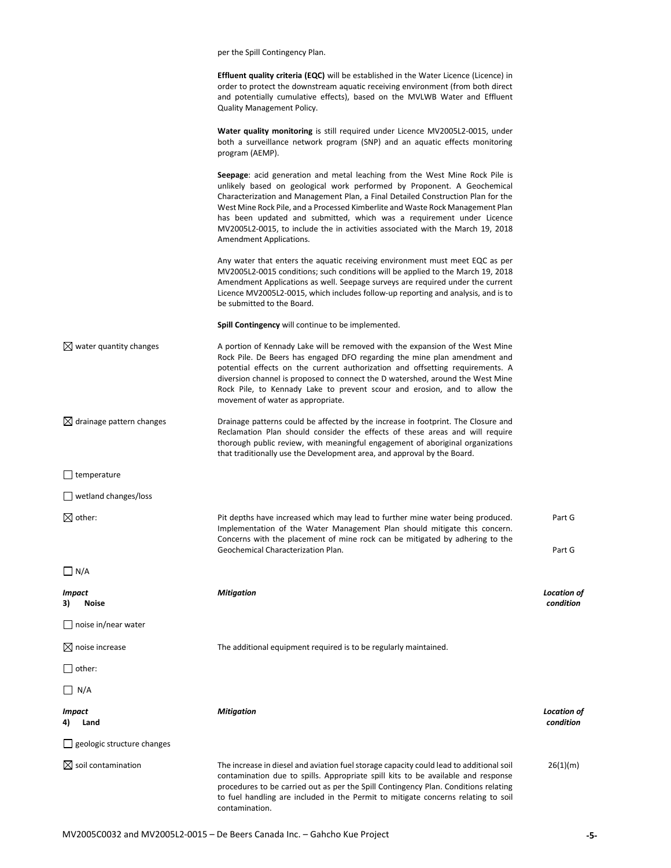|                                      | per the Spill Contingency Plan.                                                                                                                                                                                                                                                                                                                                                                                                                                                                                    |                                 |
|--------------------------------------|--------------------------------------------------------------------------------------------------------------------------------------------------------------------------------------------------------------------------------------------------------------------------------------------------------------------------------------------------------------------------------------------------------------------------------------------------------------------------------------------------------------------|---------------------------------|
|                                      | <b>Effluent quality criteria (EQC)</b> will be established in the Water Licence (Licence) in<br>order to protect the downstream aquatic receiving environment (from both direct<br>and potentially cumulative effects), based on the MVLWB Water and Effluent<br><b>Quality Management Policy.</b>                                                                                                                                                                                                                 |                                 |
|                                      | Water quality monitoring is still required under Licence MV2005L2-0015, under<br>both a surveillance network program (SNP) and an aquatic effects monitoring<br>program (AEMP).                                                                                                                                                                                                                                                                                                                                    |                                 |
|                                      | Seepage: acid generation and metal leaching from the West Mine Rock Pile is<br>unlikely based on geological work performed by Proponent. A Geochemical<br>Characterization and Management Plan, a Final Detailed Construction Plan for the<br>West Mine Rock Pile, and a Processed Kimberlite and Waste Rock Management Plan<br>has been updated and submitted, which was a requirement under Licence<br>MV2005L2-0015, to include the in activities associated with the March 19, 2018<br>Amendment Applications. |                                 |
|                                      | Any water that enters the aquatic receiving environment must meet EQC as per<br>MV2005L2-0015 conditions; such conditions will be applied to the March 19, 2018<br>Amendment Applications as well. Seepage surveys are required under the current<br>Licence MV2005L2-0015, which includes follow-up reporting and analysis, and is to<br>be submitted to the Board.                                                                                                                                               |                                 |
|                                      | Spill Contingency will continue to be implemented.                                                                                                                                                                                                                                                                                                                                                                                                                                                                 |                                 |
| $\boxtimes$ water quantity changes   | A portion of Kennady Lake will be removed with the expansion of the West Mine<br>Rock Pile. De Beers has engaged DFO regarding the mine plan amendment and<br>potential effects on the current authorization and offsetting requirements. A<br>diversion channel is proposed to connect the D watershed, around the West Mine<br>Rock Pile, to Kennady Lake to prevent scour and erosion, and to allow the<br>movement of water as appropriate.                                                                    |                                 |
| $\boxtimes$ drainage pattern changes | Drainage patterns could be affected by the increase in footprint. The Closure and<br>Reclamation Plan should consider the effects of these areas and will require<br>thorough public review, with meaningful engagement of aboriginal organizations<br>that traditionally use the Development area, and approval by the Board.                                                                                                                                                                                     |                                 |
| $\Box$ temperature                   |                                                                                                                                                                                                                                                                                                                                                                                                                                                                                                                    |                                 |
| $\Box$ wetland changes/loss          |                                                                                                                                                                                                                                                                                                                                                                                                                                                                                                                    |                                 |
| $\boxtimes$ other:                   | Pit depths have increased which may lead to further mine water being produced.<br>Implementation of the Water Management Plan should mitigate this concern.<br>Concerns with the placement of mine rock can be mitigated by adhering to the<br>Geochemical Characterization Plan.                                                                                                                                                                                                                                  | Part G<br>Part G                |
| $\Box$ N/A                           |                                                                                                                                                                                                                                                                                                                                                                                                                                                                                                                    |                                 |
| Impact<br>3)<br>Noise                | <b>Mitigation</b>                                                                                                                                                                                                                                                                                                                                                                                                                                                                                                  | <b>Location of</b><br>condition |
| $\Box$ noise in/near water           |                                                                                                                                                                                                                                                                                                                                                                                                                                                                                                                    |                                 |
| $\boxtimes$ noise increase           | The additional equipment required is to be regularly maintained.                                                                                                                                                                                                                                                                                                                                                                                                                                                   |                                 |
| $\Box$ other:                        |                                                                                                                                                                                                                                                                                                                                                                                                                                                                                                                    |                                 |
| $\Box$ N/A                           |                                                                                                                                                                                                                                                                                                                                                                                                                                                                                                                    |                                 |
| <b>Impact</b><br>4)<br>Land          | <b>Mitigation</b>                                                                                                                                                                                                                                                                                                                                                                                                                                                                                                  | <b>Location of</b><br>condition |
| $\Box$ geologic structure changes    |                                                                                                                                                                                                                                                                                                                                                                                                                                                                                                                    |                                 |
| $\boxtimes$ soil contamination       | The increase in diesel and aviation fuel storage capacity could lead to additional soil<br>contamination due to spills. Appropriate spill kits to be available and response<br>procedures to be carried out as per the Spill Contingency Plan. Conditions relating<br>to fuel handling are included in the Permit to mitigate concerns relating to soil<br>contamination.                                                                                                                                          | 26(1)(m)                        |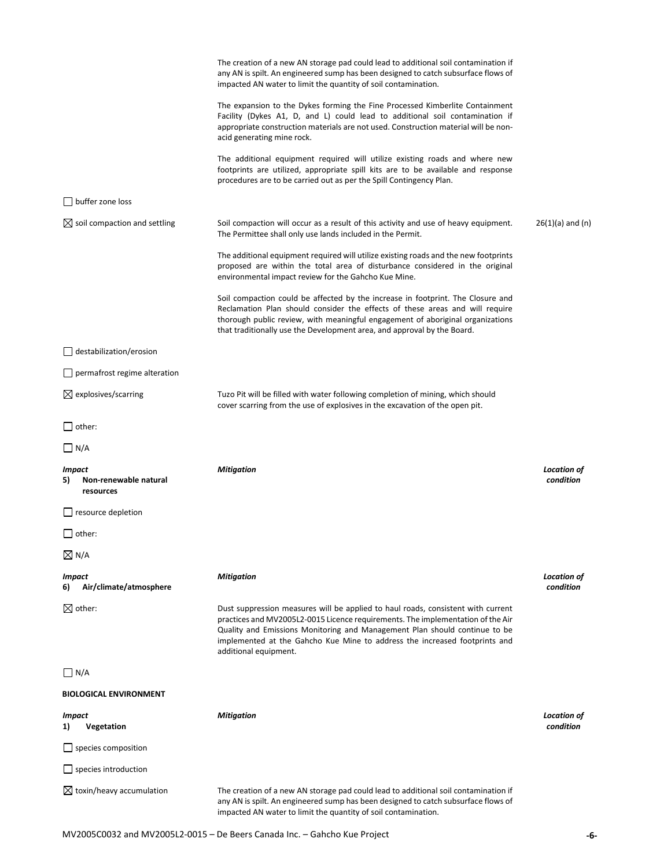|                                                    | The creation of a new AN storage pad could lead to additional soil contamination if<br>any AN is spilt. An engineered sump has been designed to catch subsurface flows of<br>impacted AN water to limit the quantity of soil contamination.                                                                                                              |                                 |
|----------------------------------------------------|----------------------------------------------------------------------------------------------------------------------------------------------------------------------------------------------------------------------------------------------------------------------------------------------------------------------------------------------------------|---------------------------------|
|                                                    | The expansion to the Dykes forming the Fine Processed Kimberlite Containment<br>Facility (Dykes A1, D, and L) could lead to additional soil contamination if<br>appropriate construction materials are not used. Construction material will be non-<br>acid generating mine rock.                                                                        |                                 |
|                                                    | The additional equipment required will utilize existing roads and where new<br>footprints are utilized, appropriate spill kits are to be available and response<br>procedures are to be carried out as per the Spill Contingency Plan.                                                                                                                   |                                 |
| $\Box$ buffer zone loss                            |                                                                                                                                                                                                                                                                                                                                                          |                                 |
| $\boxtimes$ soil compaction and settling           | Soil compaction will occur as a result of this activity and use of heavy equipment.<br>The Permittee shall only use lands included in the Permit.                                                                                                                                                                                                        | $26(1)(a)$ and $(n)$            |
|                                                    | The additional equipment required will utilize existing roads and the new footprints<br>proposed are within the total area of disturbance considered in the original<br>environmental impact review for the Gahcho Kue Mine.                                                                                                                             |                                 |
|                                                    | Soil compaction could be affected by the increase in footprint. The Closure and<br>Reclamation Plan should consider the effects of these areas and will require<br>thorough public review, with meaningful engagement of aboriginal organizations<br>that traditionally use the Development area, and approval by the Board.                             |                                 |
| $\Box$ destabilization/erosion                     |                                                                                                                                                                                                                                                                                                                                                          |                                 |
| $\Box$ permafrost regime alteration                |                                                                                                                                                                                                                                                                                                                                                          |                                 |
| $\boxtimes$ explosives/scarring                    | Tuzo Pit will be filled with water following completion of mining, which should<br>cover scarring from the use of explosives in the excavation of the open pit.                                                                                                                                                                                          |                                 |
| $\bigsqcup$ other:                                 |                                                                                                                                                                                                                                                                                                                                                          |                                 |
| $\Box$ N/A                                         |                                                                                                                                                                                                                                                                                                                                                          |                                 |
| Impact<br>Non-renewable natural<br>5)<br>resources | <b>Mitigation</b>                                                                                                                                                                                                                                                                                                                                        | <b>Location of</b><br>condition |
| $\Box$ resource depletion                          |                                                                                                                                                                                                                                                                                                                                                          |                                 |
| $\Box$ other:                                      |                                                                                                                                                                                                                                                                                                                                                          |                                 |
| $\boxtimes$ N/A                                    |                                                                                                                                                                                                                                                                                                                                                          |                                 |
| <b>Impact</b><br>Air/climate/atmosphere<br>6)      | <b>Mitigation</b>                                                                                                                                                                                                                                                                                                                                        | <b>Location of</b><br>condition |
| $\boxtimes$ other:                                 | Dust suppression measures will be applied to haul roads, consistent with current<br>practices and MV2005L2-0015 Licence requirements. The implementation of the Air<br>Quality and Emissions Monitoring and Management Plan should continue to be<br>implemented at the Gahcho Kue Mine to address the increased footprints and<br>additional equipment. |                                 |
| $\Box$ N/A                                         |                                                                                                                                                                                                                                                                                                                                                          |                                 |
| <b>BIOLOGICAL ENVIRONMENT</b>                      |                                                                                                                                                                                                                                                                                                                                                          |                                 |
| Impact<br>Vegetation<br>1)                         | <b>Mitigation</b>                                                                                                                                                                                                                                                                                                                                        | <b>Location of</b><br>condition |
| $\Box$ species composition                         |                                                                                                                                                                                                                                                                                                                                                          |                                 |
| $\Box$ species introduction                        |                                                                                                                                                                                                                                                                                                                                                          |                                 |
| $\boxtimes$ toxin/heavy accumulation               | The creation of a new AN storage pad could lead to additional soil contamination if<br>any AN is spilt. An engineered sump has been designed to catch subsurface flows of<br>impacted AN water to limit the quantity of soil contamination.                                                                                                              |                                 |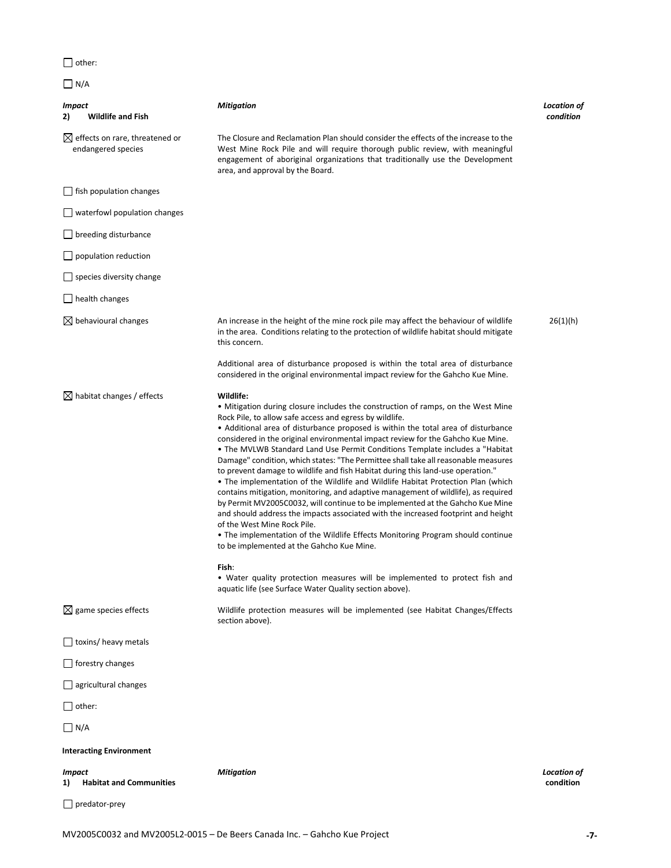$\Box$  other:

|--|--|

| Impact<br><b>Wildlife and Fish</b><br>2)                         | <b>Mitigation</b>                                                                                                                                                                                                                                                                                                                                                                                                                                                                                                                                                                                                                                                                                                                                                                                                                                                                                                                                                                                                                                                                                                                                                                                                                                            | Location of<br>condition        |
|------------------------------------------------------------------|--------------------------------------------------------------------------------------------------------------------------------------------------------------------------------------------------------------------------------------------------------------------------------------------------------------------------------------------------------------------------------------------------------------------------------------------------------------------------------------------------------------------------------------------------------------------------------------------------------------------------------------------------------------------------------------------------------------------------------------------------------------------------------------------------------------------------------------------------------------------------------------------------------------------------------------------------------------------------------------------------------------------------------------------------------------------------------------------------------------------------------------------------------------------------------------------------------------------------------------------------------------|---------------------------------|
| $\boxtimes$ effects on rare, threatened or<br>endangered species | The Closure and Reclamation Plan should consider the effects of the increase to the<br>West Mine Rock Pile and will require thorough public review, with meaningful<br>engagement of aboriginal organizations that traditionally use the Development<br>area, and approval by the Board.                                                                                                                                                                                                                                                                                                                                                                                                                                                                                                                                                                                                                                                                                                                                                                                                                                                                                                                                                                     |                                 |
| $\Box$ fish population changes                                   |                                                                                                                                                                                                                                                                                                                                                                                                                                                                                                                                                                                                                                                                                                                                                                                                                                                                                                                                                                                                                                                                                                                                                                                                                                                              |                                 |
| $\lfloor$ waterfowl population changes                           |                                                                                                                                                                                                                                                                                                                                                                                                                                                                                                                                                                                                                                                                                                                                                                                                                                                                                                                                                                                                                                                                                                                                                                                                                                                              |                                 |
| $\Box$ breeding disturbance                                      |                                                                                                                                                                                                                                                                                                                                                                                                                                                                                                                                                                                                                                                                                                                                                                                                                                                                                                                                                                                                                                                                                                                                                                                                                                                              |                                 |
| $\Box$ population reduction                                      |                                                                                                                                                                                                                                                                                                                                                                                                                                                                                                                                                                                                                                                                                                                                                                                                                                                                                                                                                                                                                                                                                                                                                                                                                                                              |                                 |
| $\lfloor$ species diversity change                               |                                                                                                                                                                                                                                                                                                                                                                                                                                                                                                                                                                                                                                                                                                                                                                                                                                                                                                                                                                                                                                                                                                                                                                                                                                                              |                                 |
| $\Box$ health changes                                            |                                                                                                                                                                                                                                                                                                                                                                                                                                                                                                                                                                                                                                                                                                                                                                                                                                                                                                                                                                                                                                                                                                                                                                                                                                                              |                                 |
| $\boxtimes$ behavioural changes                                  | An increase in the height of the mine rock pile may affect the behaviour of wildlife<br>in the area. Conditions relating to the protection of wildlife habitat should mitigate<br>this concern.                                                                                                                                                                                                                                                                                                                                                                                                                                                                                                                                                                                                                                                                                                                                                                                                                                                                                                                                                                                                                                                              | 26(1)(h)                        |
|                                                                  | Additional area of disturbance proposed is within the total area of disturbance<br>considered in the original environmental impact review for the Gahcho Kue Mine.                                                                                                                                                                                                                                                                                                                                                                                                                                                                                                                                                                                                                                                                                                                                                                                                                                                                                                                                                                                                                                                                                           |                                 |
| $\boxtimes$ habitat changes / effects                            | Wildlife:<br>• Mitigation during closure includes the construction of ramps, on the West Mine<br>Rock Pile, to allow safe access and egress by wildlife.<br>• Additional area of disturbance proposed is within the total area of disturbance<br>considered in the original environmental impact review for the Gahcho Kue Mine.<br>• The MVLWB Standard Land Use Permit Conditions Template includes a "Habitat"<br>Damage" condition, which states: "The Permittee shall take all reasonable measures<br>to prevent damage to wildlife and fish Habitat during this land-use operation."<br>• The implementation of the Wildlife and Wildlife Habitat Protection Plan (which<br>contains mitigation, monitoring, and adaptive management of wildlife), as required<br>by Permit MV2005C0032, will continue to be implemented at the Gahcho Kue Mine<br>and should address the impacts associated with the increased footprint and height<br>of the West Mine Rock Pile.<br>• The implementation of the Wildlife Effects Monitoring Program should continue<br>to be implemented at the Gahcho Kue Mine.<br>Fish:<br>• Water quality protection measures will be implemented to protect fish and<br>aquatic life (see Surface Water Quality section above). |                                 |
| $\boxtimes$ game species effects                                 | Wildlife protection measures will be implemented (see Habitat Changes/Effects<br>section above).                                                                                                                                                                                                                                                                                                                                                                                                                                                                                                                                                                                                                                                                                                                                                                                                                                                                                                                                                                                                                                                                                                                                                             |                                 |
| $\Box$ toxins/ heavy metals                                      |                                                                                                                                                                                                                                                                                                                                                                                                                                                                                                                                                                                                                                                                                                                                                                                                                                                                                                                                                                                                                                                                                                                                                                                                                                                              |                                 |
| $\Box$ forestry changes                                          |                                                                                                                                                                                                                                                                                                                                                                                                                                                                                                                                                                                                                                                                                                                                                                                                                                                                                                                                                                                                                                                                                                                                                                                                                                                              |                                 |
| $\Box$ agricultural changes                                      |                                                                                                                                                                                                                                                                                                                                                                                                                                                                                                                                                                                                                                                                                                                                                                                                                                                                                                                                                                                                                                                                                                                                                                                                                                                              |                                 |
| $\Box$ other:                                                    |                                                                                                                                                                                                                                                                                                                                                                                                                                                                                                                                                                                                                                                                                                                                                                                                                                                                                                                                                                                                                                                                                                                                                                                                                                                              |                                 |
| $\bigsqcup$ N/A                                                  |                                                                                                                                                                                                                                                                                                                                                                                                                                                                                                                                                                                                                                                                                                                                                                                                                                                                                                                                                                                                                                                                                                                                                                                                                                                              |                                 |
| <b>Interacting Environment</b>                                   |                                                                                                                                                                                                                                                                                                                                                                                                                                                                                                                                                                                                                                                                                                                                                                                                                                                                                                                                                                                                                                                                                                                                                                                                                                                              |                                 |
| <b>Impact</b><br><b>Habitat and Communities</b><br>1)            | <b>Mitigation</b>                                                                                                                                                                                                                                                                                                                                                                                                                                                                                                                                                                                                                                                                                                                                                                                                                                                                                                                                                                                                                                                                                                                                                                                                                                            | <b>Location of</b><br>condition |
| $\Box$ predator-prey                                             |                                                                                                                                                                                                                                                                                                                                                                                                                                                                                                                                                                                                                                                                                                                                                                                                                                                                                                                                                                                                                                                                                                                                                                                                                                                              |                                 |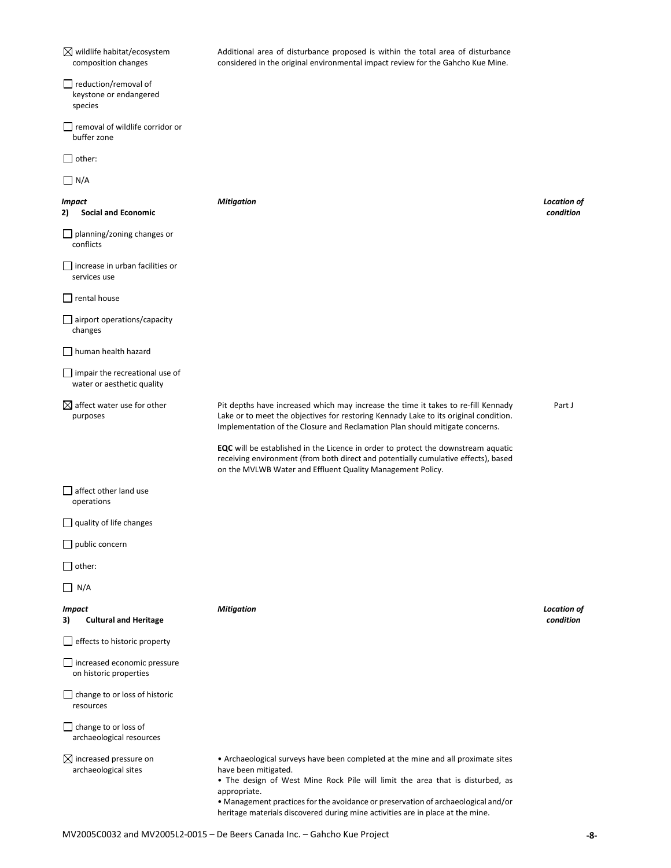$\boxtimes$  wildlife habitat/ecosystem composition changes Additional area of disturbance proposed is within the total area of disturbance considered in the original environmental impact review for the Gahcho Kue Mine. reduction/removal of keystone or endangered species □ removal of wildlife corridor or buffer zone  $\Box$  other:  $\Box$  N/A *Impact* **2) Social and Economic** *Mitigation Location of condition* planning/zoning changes or conflicts  $\Box$  increase in urban facilities or services use  $\Box$  rental house airport operations/capacity changes □ human health hazard impair the recreational use of water or aesthetic quality  $\boxtimes$  affect water use for other purposes Pit depths have increased which may increase the time it takes to re-fill Kennady Lake or to meet the objectives for restoring Kennady Lake to its original condition. Implementation of the Closure and Reclamation Plan should mitigate concerns. **EQC** will be established in the Licence in order to protect the downstream aquatic receiving environment (from both direct and potentially cumulative effects), based on the MVLWB Water and Effluent Quality Management Policy. Part J  $\Box$  affect other land use operations  $\Box$  quality of life changes public concern  $\Box$  other:  $\Box$  N/A *Impact* **3) Cultural and Heritage** *Mitigation Location of condition*  $\Box$  effects to historic property □ increased economic pressure on historic properties  $\Box$  change to or loss of historic resources  $\Box$  change to or loss of archaeological resources  $\boxtimes$  increased pressure on archaeological sites • Archaeological surveys have been completed at the mine and all proximate sites have been mitigated. • The design of West Mine Rock Pile will limit the area that is disturbed, as appropriate. • Management practices for the avoidance or preservation of archaeological and/or heritage materials discovered during mine activities are in place at the mine.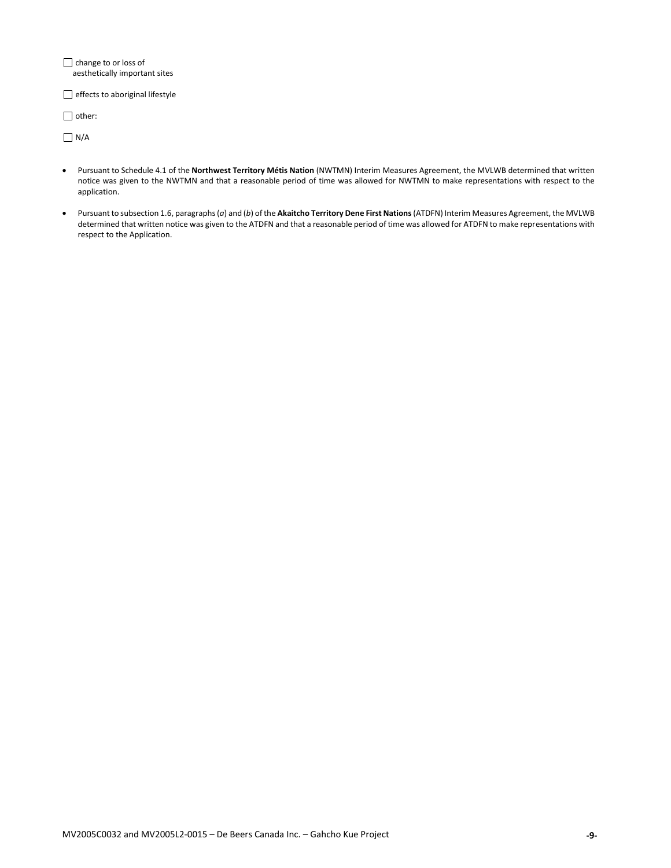**change to or loss of** aesthetically important sites

 $\Box$  effects to aboriginal lifestyle

 $\Box$  other:

 $\Box$  N/A

- Pursuant to Schedule 4.1 of the **Northwest Territory Métis Nation** (NWTMN) Interim Measures Agreement, the MVLWB determined that written notice was given to the NWTMN and that a reasonable period of time was allowed for NWTMN to make representations with respect to the application.
- Pursuant to subsection 1.6, paragraphs (*a*) and (*b*) of the **Akaitcho Territory Dene First Nations**(ATDFN) Interim Measures Agreement, the MVLWB determined that written notice was given to the ATDFN and that a reasonable period of time was allowed for ATDFN to make representations with respect to the Application.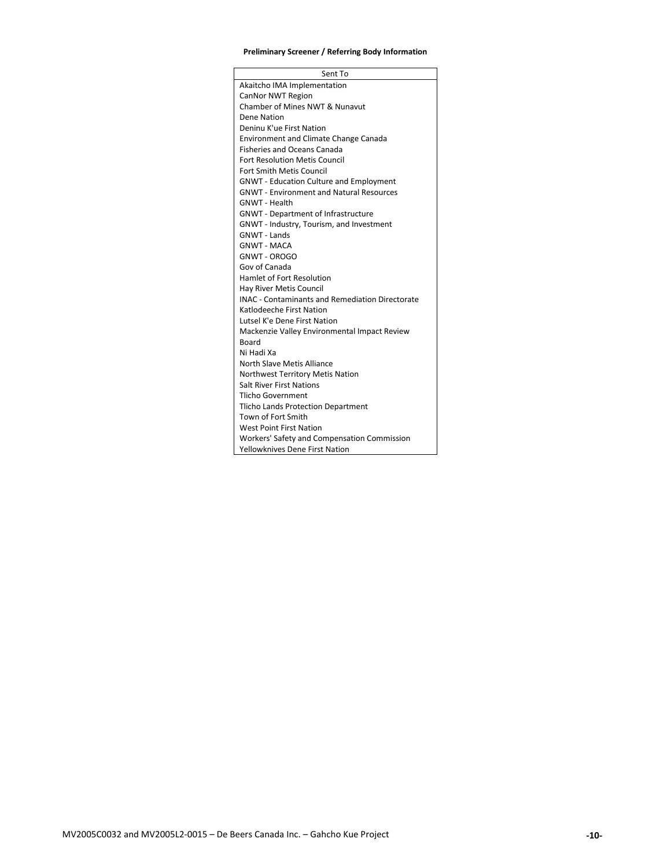# **Preliminary Screener / Referring Body Information**

| Sent To                                                |
|--------------------------------------------------------|
| Akaitcho IMA Implementation                            |
| CanNor NWT Region                                      |
| Chamber of Mines NWT & Nunavut                         |
| Dene Nation                                            |
| Deninu K'ue First Nation                               |
| <b>Environment and Climate Change Canada</b>           |
| <b>Fisheries and Oceans Canada</b>                     |
| <b>Fort Resolution Metis Council</b>                   |
| <b>Fort Smith Metis Council</b>                        |
| <b>GNWT - Education Culture and Employment</b>         |
| <b>GNWT - Environment and Natural Resources</b>        |
| <b>GNWT - Health</b>                                   |
| <b>GNWT</b> - Department of Infrastructure             |
| GNWT - Industry, Tourism, and Investment               |
| <b>GNWT - Lands</b>                                    |
| <b>GNWT - MACA</b>                                     |
| <b>GNWT - OROGO</b>                                    |
| Gov of Canada                                          |
| Hamlet of Fort Resolution                              |
| <b>Hav River Metis Council</b>                         |
| <b>INAC - Contaminants and Remediation Directorate</b> |
| Katlodeeche First Nation                               |
| Lutsel K'e Dene First Nation                           |
| Mackenzie Valley Environmental Impact Review           |
| Board                                                  |
| Ni Hadi Xa                                             |
| North Slave Metis Alliance                             |
| Northwest Territory Metis Nation                       |
| <b>Salt River First Nations</b>                        |
| Tlicho Government                                      |
| Tlicho Lands Protection Department                     |
| Town of Fort Smith                                     |
| <b>West Point First Nation</b>                         |
| <b>Workers' Safety and Compensation Commission</b>     |
| <b>Yellowknives Dene First Nation</b>                  |